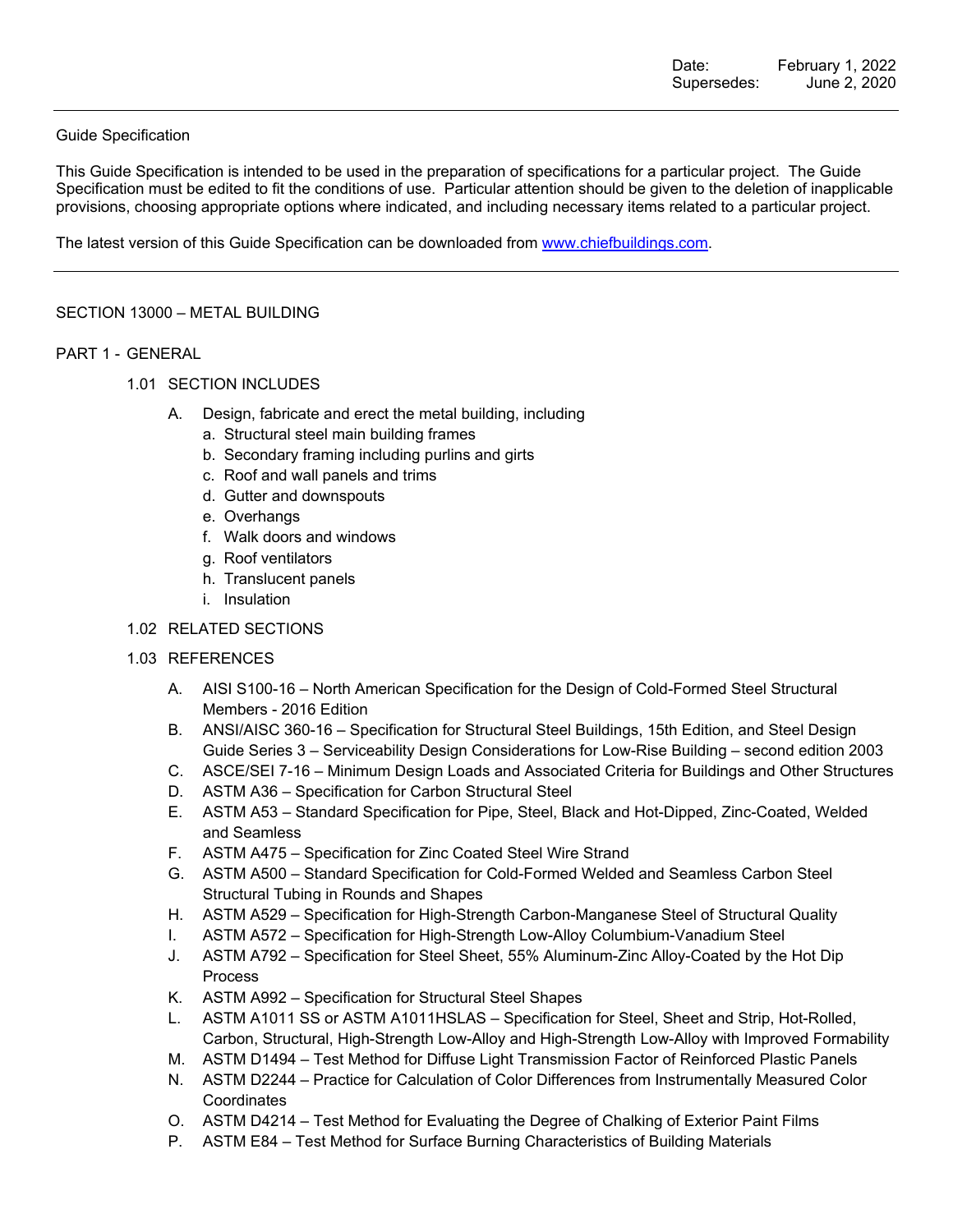#### Guide Specification

This Guide Specification is intended to be used in the preparation of specifications for a particular project. The Guide Specification must be edited to fit the conditions of use. Particular attention should be given to the deletion of inapplicable provisions, choosing appropriate options where indicated, and including necessary items related to a particular project.

The latest version of this Guide Specification can be downloaded from www.chiefbuildings.com.

#### SECTION 13000 – METAL BUILDING

#### PART 1 - GENERAL

- 1.01 SECTION INCLUDES
	- A. Design, fabricate and erect the metal building, including
		- a. Structural steel main building frames
		- b. Secondary framing including purlins and girts
		- c. Roof and wall panels and trims
		- d. Gutter and downspouts
		- e. Overhangs
		- f. Walk doors and windows
		- g. Roof ventilators
		- h. Translucent panels
		- i. Insulation
- 1.02 RELATED SECTIONS
- 1.03 REFERENCES
	- A. AISI S100-16 North American Specification for the Design of Cold-Formed Steel Structural Members - 2016 Edition
	- B. ANSI/AISC 360-16 Specification for Structural Steel Buildings, 15th Edition, and Steel Design Guide Series 3 – Serviceability Design Considerations for Low-Rise Building – second edition 2003
	- C. ASCE/SEI 7-16 Minimum Design Loads and Associated Criteria for Buildings and Other Structures
	- D. ASTM A36 Specification for Carbon Structural Steel
	- E. ASTM A53 Standard Specification for Pipe, Steel, Black and Hot-Dipped, Zinc-Coated, Welded and Seamless
	- F. ASTM A475 Specification for Zinc Coated Steel Wire Strand
	- G. ASTM A500 Standard Specification for Cold-Formed Welded and Seamless Carbon Steel Structural Tubing in Rounds and Shapes
	- H. ASTM A529 Specification for High-Strength Carbon-Manganese Steel of Structural Quality
	- I. ASTM A572 Specification for High-Strength Low-Alloy Columbium-Vanadium Steel
	- J. ASTM A792 Specification for Steel Sheet, 55% Aluminum-Zinc Alloy-Coated by the Hot Dip Process
	- K. ASTM A992 Specification for Structural Steel Shapes
	- L. ASTM A1011 SS or ASTM A1011HSLAS Specification for Steel, Sheet and Strip, Hot-Rolled, Carbon, Structural, High-Strength Low-Alloy and High-Strength Low-Alloy with Improved Formability
	- M. ASTM D1494 Test Method for Diffuse Light Transmission Factor of Reinforced Plastic Panels
	- N. ASTM D2244 Practice for Calculation of Color Differences from Instrumentally Measured Color **Coordinates**
	- O. ASTM D4214 Test Method for Evaluating the Degree of Chalking of Exterior Paint Films
	- P. ASTM E84 Test Method for Surface Burning Characteristics of Building Materials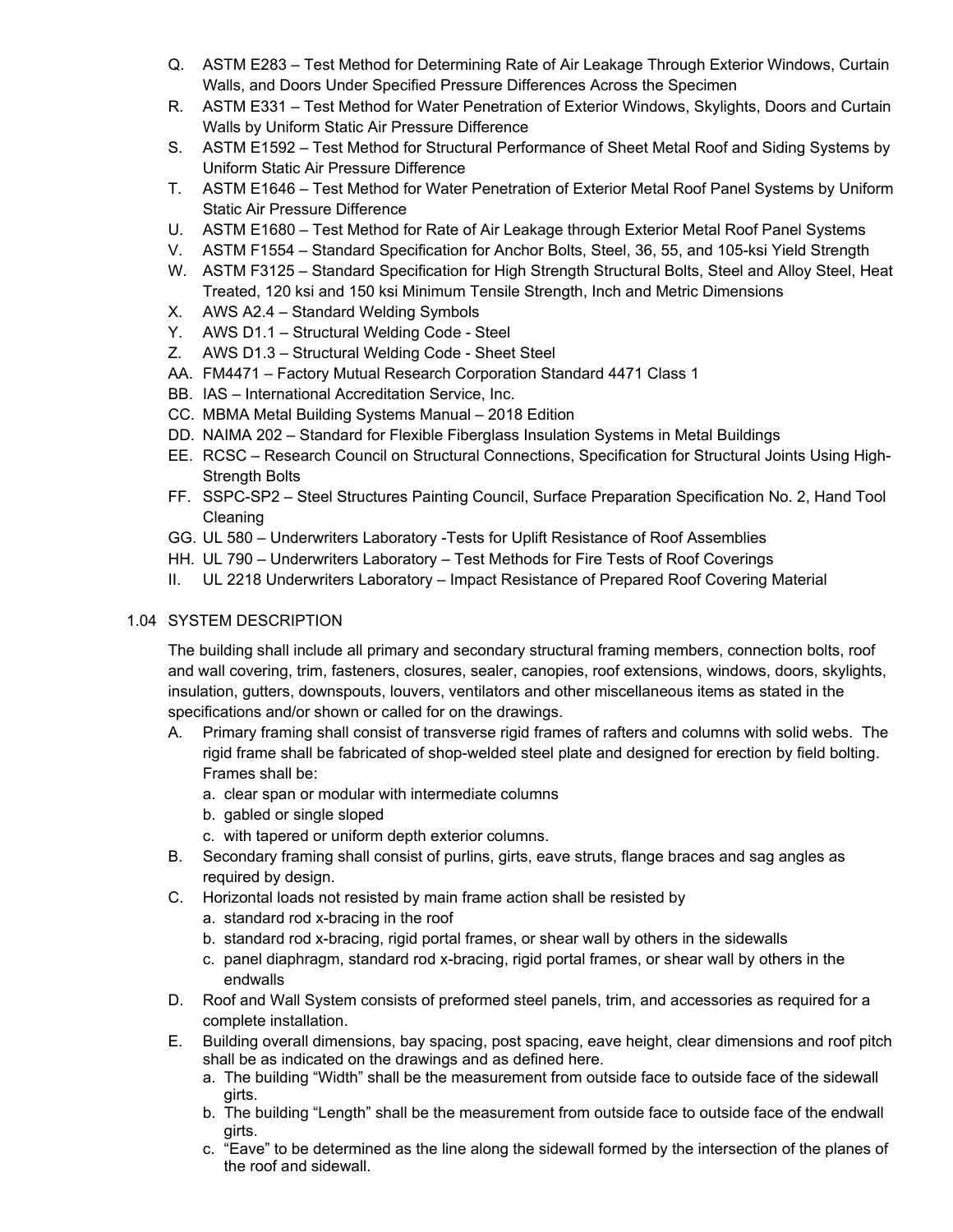- Q. ASTM E283 Test Method for Determining Rate of Air Leakage Through Exterior Windows, Curtain Walls, and Doors Under Specified Pressure Differences Across the Specimen
- R. ASTM E331 Test Method for Water Penetration of Exterior Windows, Skylights, Doors and Curtain Walls by Uniform Static Air Pressure Difference
- S. ASTM E1592 Test Method for Structural Performance of Sheet Metal Roof and Siding Systems by Uniform Static Air Pressure Difference
- T. ASTM E1646 Test Method for Water Penetration of Exterior Metal Roof Panel Systems by Uniform Static Air Pressure Difference
- U. ASTM E1680 Test Method for Rate of Air Leakage through Exterior Metal Roof Panel Systems
- V. ASTM F1554 Standard Specification for Anchor Bolts, Steel, 36, 55, and 105-ksi Yield Strength
- W. ASTM F3125 Standard Specification for High Strength Structural Bolts, Steel and Alloy Steel, Heat Treated, 120 ksi and 150 ksi Minimum Tensile Strength, Inch and Metric Dimensions
- X. AWS A2.4 Standard Welding Symbols
- Y. AWS D1.1 Structural Welding Code Steel
- Z. AWS D1.3 Structural Welding Code Sheet Steel
- AA. FM4471 Factory Mutual Research Corporation Standard 4471 Class 1
- BB. IAS International Accreditation Service, Inc.
- CC. MBMA Metal Building Systems Manual 2018 Edition
- DD. NAIMA 202 Standard for Flexible Fiberglass Insulation Systems in Metal Buildings
- EE. RCSC Research Council on Structural Connections, Specification for Structural Joints Using High-Strength Bolts
- FF. SSPC-SP2 Steel Structures Painting Council, Surface Preparation Specification No. 2, Hand Tool Cleaning
- GG. UL 580 Underwriters Laboratory -Tests for Uplift Resistance of Roof Assemblies
- HH. UL 790 Underwriters Laboratory Test Methods for Fire Tests of Roof Coverings
- II. UL 2218 Underwriters Laboratory Impact Resistance of Prepared Roof Covering Material

# 1.04 SYSTEM DESCRIPTION

The building shall include all primary and secondary structural framing members, connection bolts, roof and wall covering, trim, fasteners, closures, sealer, canopies, roof extensions, windows, doors, skylights, insulation, gutters, downspouts, louvers, ventilators and other miscellaneous items as stated in the specifications and/or shown or called for on the drawings.

- A. Primary framing shall consist of transverse rigid frames of rafters and columns with solid webs. The rigid frame shall be fabricated of shop-welded steel plate and designed for erection by field bolting. Frames shall be:
	- a. clear span or modular with intermediate columns
	- b. gabled or single sloped
	- c. with tapered or uniform depth exterior columns.
- B. Secondary framing shall consist of purlins, girts, eave struts, flange braces and sag angles as required by design.
- C. Horizontal loads not resisted by main frame action shall be resisted by
	- a. standard rod x-bracing in the roof
	- b. standard rod x-bracing, rigid portal frames, or shear wall by others in the sidewalls
	- c. panel diaphragm, standard rod x-bracing, rigid portal frames, or shear wall by others in the endwalls
- D. Roof and Wall System consists of preformed steel panels, trim, and accessories as required for a complete installation.
- E. Building overall dimensions, bay spacing, post spacing, eave height, clear dimensions and roof pitch shall be as indicated on the drawings and as defined here.
	- a. The building "Width" shall be the measurement from outside face to outside face of the sidewall girts.
	- b. The building "Length" shall be the measurement from outside face to outside face of the endwall girts.
	- c. "Eave" to be determined as the line along the sidewall formed by the intersection of the planes of the roof and sidewall.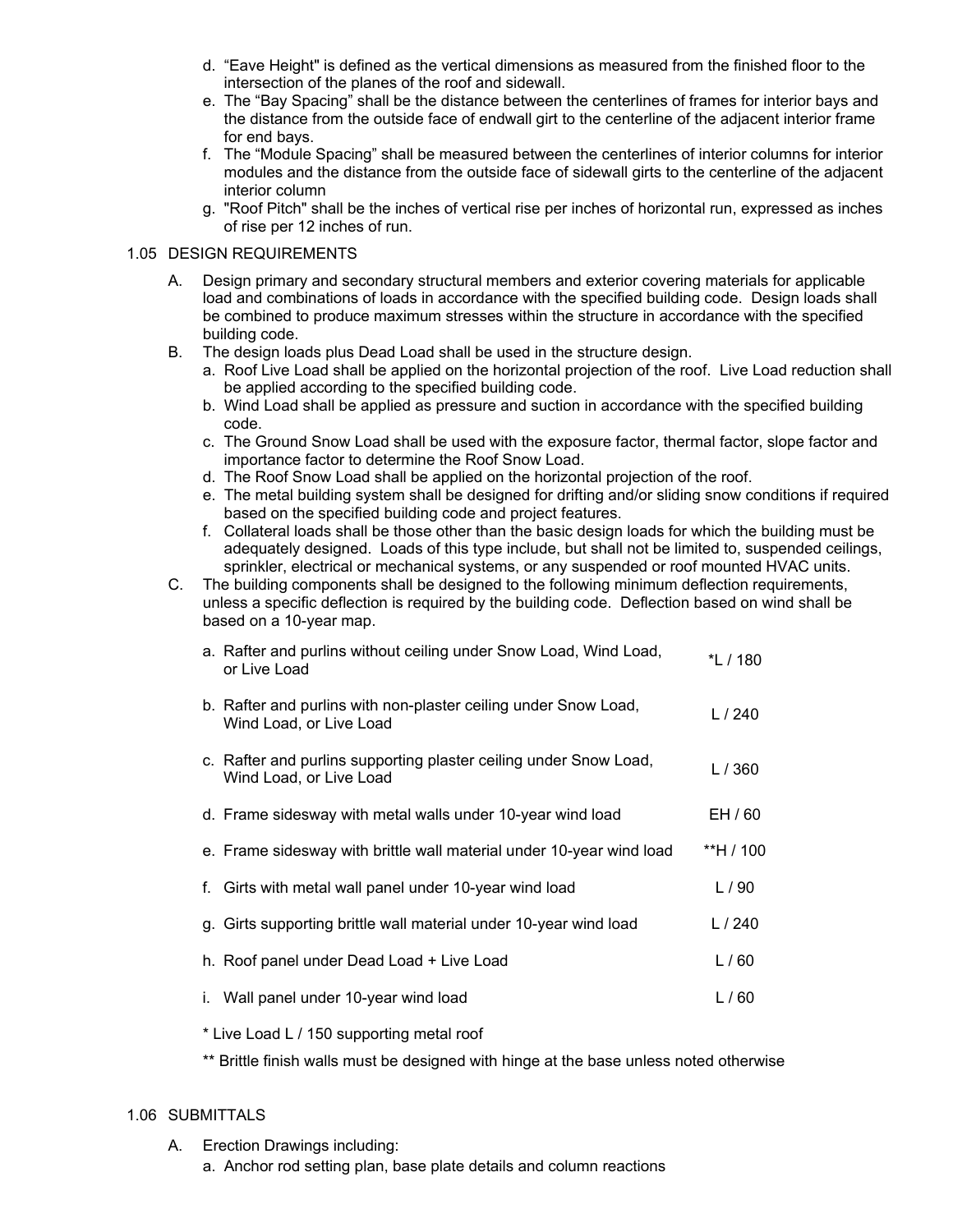- d. "Eave Height" is defined as the vertical dimensions as measured from the finished floor to the intersection of the planes of the roof and sidewall.
- e. The "Bay Spacing" shall be the distance between the centerlines of frames for interior bays and the distance from the outside face of endwall girt to the centerline of the adjacent interior frame for end bays.
- f. The "Module Spacing" shall be measured between the centerlines of interior columns for interior modules and the distance from the outside face of sidewall girts to the centerline of the adjacent interior column
- g. "Roof Pitch" shall be the inches of vertical rise per inches of horizontal run, expressed as inches of rise per 12 inches of run.

#### 1.05 DESIGN REQUIREMENTS

- A. Design primary and secondary structural members and exterior covering materials for applicable load and combinations of loads in accordance with the specified building code. Design loads shall be combined to produce maximum stresses within the structure in accordance with the specified building code.
- B. The design loads plus Dead Load shall be used in the structure design.
	- a. Roof Live Load shall be applied on the horizontal projection of the roof. Live Load reduction shall be applied according to the specified building code.
	- b. Wind Load shall be applied as pressure and suction in accordance with the specified building code.
	- c. The Ground Snow Load shall be used with the exposure factor, thermal factor, slope factor and importance factor to determine the Roof Snow Load.
	- d. The Roof Snow Load shall be applied on the horizontal projection of the roof.
	- e. The metal building system shall be designed for drifting and/or sliding snow conditions if required based on the specified building code and project features.
	- f. Collateral loads shall be those other than the basic design loads for which the building must be adequately designed. Loads of this type include, but shall not be limited to, suspended ceilings, sprinkler, electrical or mechanical systems, or any suspended or roof mounted HVAC units.
- C. The building components shall be designed to the following minimum deflection requirements, unless a specific deflection is required by the building code. Deflection based on wind shall be based on a 10-year map.

| a. Rafter and purlins without ceiling under Snow Load, Wind Load,<br>or Live Load            | *L / 180  |
|----------------------------------------------------------------------------------------------|-----------|
| b. Rafter and purlins with non-plaster ceiling under Snow Load,<br>Wind Load, or Live Load   | L/240     |
| c. Rafter and purlins supporting plaster ceiling under Snow Load,<br>Wind Load, or Live Load | L/360     |
| d. Frame sidesway with metal walls under 10-year wind load                                   | EH / 60   |
| e. Frame sidesway with brittle wall material under 10-year wind load                         | **H / 100 |
| f. Girts with metal wall panel under 10-year wind load                                       | L/90      |
| g. Girts supporting brittle wall material under 10-year wind load                            | L $/240$  |
| h. Roof panel under Dead Load + Live Load                                                    | L/60      |
| i. Wall panel under 10-year wind load                                                        | L/60      |

\* Live Load L / 150 supporting metal roof

\*\* Brittle finish walls must be designed with hinge at the base unless noted otherwise

#### 1.06 SUBMITTALS

- A. Erection Drawings including:
	- a. Anchor rod setting plan, base plate details and column reactions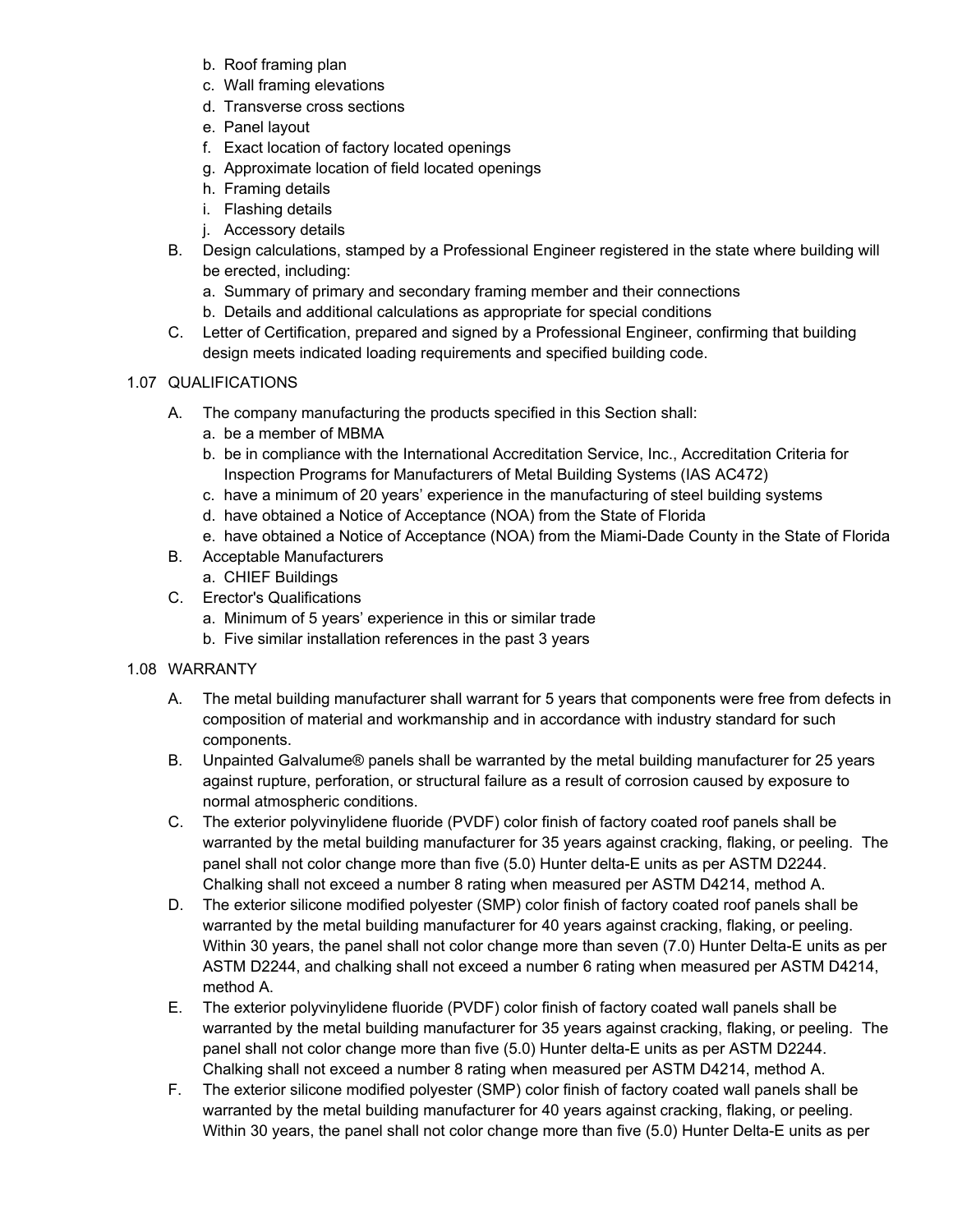- b. Roof framing plan
- c. Wall framing elevations
- d. Transverse cross sections
- e. Panel layout
- f. Exact location of factory located openings
- g. Approximate location of field located openings
- h. Framing details
- i. Flashing details
- j. Accessory details
- B. Design calculations, stamped by a Professional Engineer registered in the state where building will be erected, including:
	- a. Summary of primary and secondary framing member and their connections
	- b. Details and additional calculations as appropriate for special conditions
- C. Letter of Certification, prepared and signed by a Professional Engineer, confirming that building design meets indicated loading requirements and specified building code.

## 1.07 QUALIFICATIONS

- A. The company manufacturing the products specified in this Section shall:
	- a. be a member of MBMA
	- b. be in compliance with the International Accreditation Service, Inc., Accreditation Criteria for Inspection Programs for Manufacturers of Metal Building Systems (IAS AC472)
	- c. have a minimum of 20 years' experience in the manufacturing of steel building systems
	- d. have obtained a Notice of Acceptance (NOA) from the State of Florida
	- e. have obtained a Notice of Acceptance (NOA) from the Miami-Dade County in the State of Florida
- B. Acceptable Manufacturers
	- a. CHIEF Buildings
- C. Erector's Qualifications
	- a. Minimum of 5 years' experience in this or similar trade
	- b. Five similar installation references in the past 3 years

## 1.08 WARRANTY

- A. The metal building manufacturer shall warrant for 5 years that components were free from defects in composition of material and workmanship and in accordance with industry standard for such components.
- B. Unpainted Galvalume® panels shall be warranted by the metal building manufacturer for 25 years against rupture, perforation, or structural failure as a result of corrosion caused by exposure to normal atmospheric conditions.
- C. The exterior polyvinylidene fluoride (PVDF) color finish of factory coated roof panels shall be warranted by the metal building manufacturer for 35 years against cracking, flaking, or peeling. The panel shall not color change more than five (5.0) Hunter delta-E units as per ASTM D2244. Chalking shall not exceed a number 8 rating when measured per ASTM D4214, method A.
- D. The exterior silicone modified polyester (SMP) color finish of factory coated roof panels shall be warranted by the metal building manufacturer for 40 years against cracking, flaking, or peeling. Within 30 years, the panel shall not color change more than seven (7.0) Hunter Delta-E units as per ASTM D2244, and chalking shall not exceed a number 6 rating when measured per ASTM D4214, method A.
- E. The exterior polyvinylidene fluoride (PVDF) color finish of factory coated wall panels shall be warranted by the metal building manufacturer for 35 years against cracking, flaking, or peeling. The panel shall not color change more than five (5.0) Hunter delta-E units as per ASTM D2244. Chalking shall not exceed a number 8 rating when measured per ASTM D4214, method A.
- F. The exterior silicone modified polyester (SMP) color finish of factory coated wall panels shall be warranted by the metal building manufacturer for 40 years against cracking, flaking, or peeling. Within 30 years, the panel shall not color change more than five (5.0) Hunter Delta-E units as per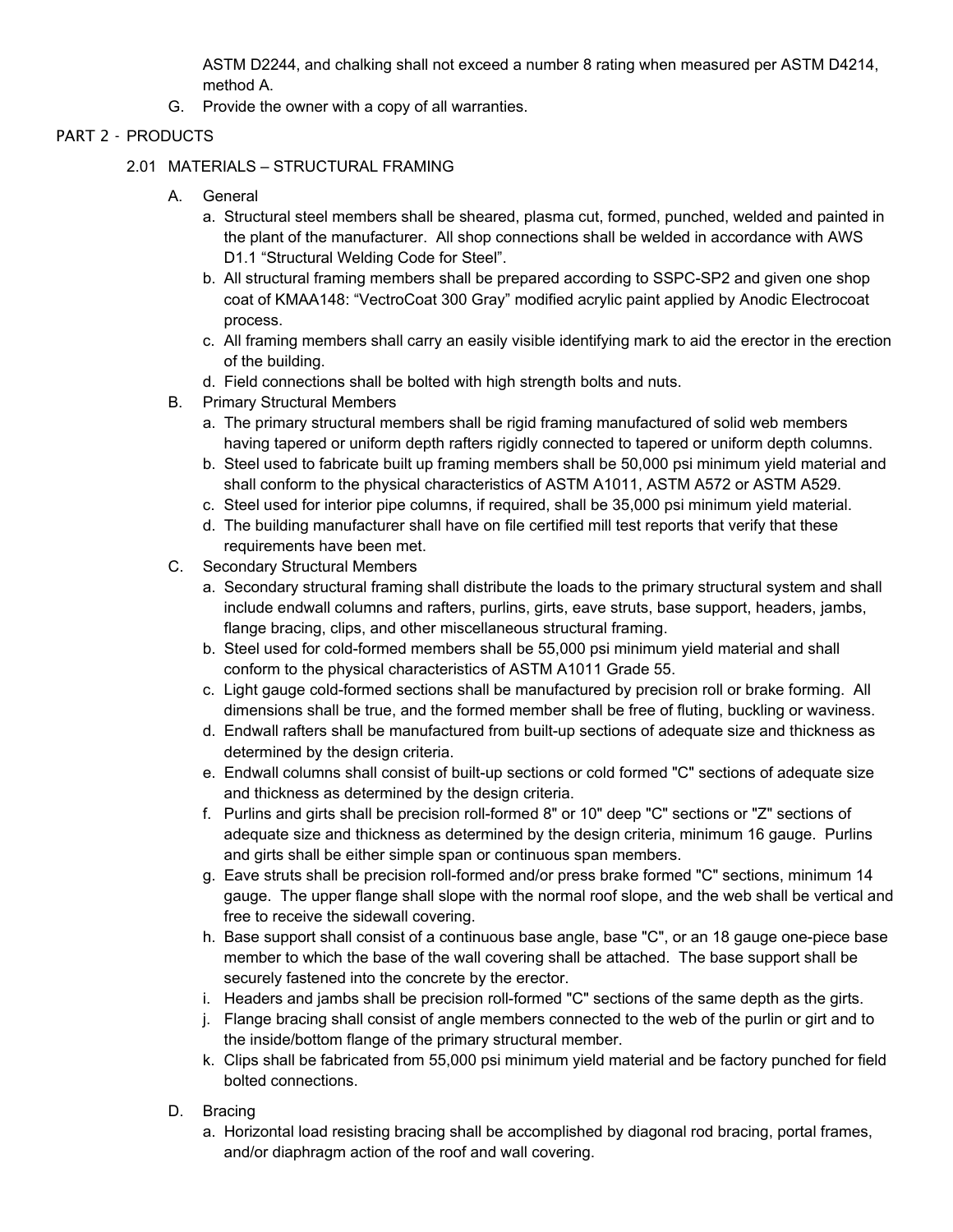ASTM D2244, and chalking shall not exceed a number 8 rating when measured per ASTM D4214, method A.

G. Provide the owner with a copy of all warranties.

# PART 2 - PRODUCTS

- 2.01 MATERIALS STRUCTURAL FRAMING
	- A. General
		- a. Structural steel members shall be sheared, plasma cut, formed, punched, welded and painted in the plant of the manufacturer. All shop connections shall be welded in accordance with AWS D1.1 "Structural Welding Code for Steel".
		- b. All structural framing members shall be prepared according to SSPC-SP2 and given one shop coat of KMAA148: "VectroCoat 300 Gray" modified acrylic paint applied by Anodic Electrocoat process.
		- c. All framing members shall carry an easily visible identifying mark to aid the erector in the erection of the building.
		- d. Field connections shall be bolted with high strength bolts and nuts.
	- B. Primary Structural Members
		- a. The primary structural members shall be rigid framing manufactured of solid web members having tapered or uniform depth rafters rigidly connected to tapered or uniform depth columns.
		- b. Steel used to fabricate built up framing members shall be 50,000 psi minimum yield material and shall conform to the physical characteristics of ASTM A1011, ASTM A572 or ASTM A529.
		- c. Steel used for interior pipe columns, if required, shall be 35,000 psi minimum yield material.
		- d. The building manufacturer shall have on file certified mill test reports that verify that these requirements have been met.
	- C. Secondary Structural Members
		- a. Secondary structural framing shall distribute the loads to the primary structural system and shall include endwall columns and rafters, purlins, girts, eave struts, base support, headers, jambs, flange bracing, clips, and other miscellaneous structural framing.
		- b. Steel used for cold-formed members shall be 55,000 psi minimum yield material and shall conform to the physical characteristics of ASTM A1011 Grade 55.
		- c. Light gauge cold-formed sections shall be manufactured by precision roll or brake forming. All dimensions shall be true, and the formed member shall be free of fluting, buckling or waviness.
		- d. Endwall rafters shall be manufactured from built-up sections of adequate size and thickness as determined by the design criteria.
		- e. Endwall columns shall consist of built-up sections or cold formed "C" sections of adequate size and thickness as determined by the design criteria.
		- f. Purlins and girts shall be precision roll-formed 8" or 10" deep "C" sections or "Z" sections of adequate size and thickness as determined by the design criteria, minimum 16 gauge. Purlins and girts shall be either simple span or continuous span members.
		- g. Eave struts shall be precision roll-formed and/or press brake formed "C" sections, minimum 14 gauge. The upper flange shall slope with the normal roof slope, and the web shall be vertical and free to receive the sidewall covering.
		- h. Base support shall consist of a continuous base angle, base "C", or an 18 gauge one-piece base member to which the base of the wall covering shall be attached. The base support shall be securely fastened into the concrete by the erector.
		- i. Headers and jambs shall be precision roll-formed "C" sections of the same depth as the girts.
		- j. Flange bracing shall consist of angle members connected to the web of the purlin or girt and to the inside/bottom flange of the primary structural member.
		- k. Clips shall be fabricated from 55,000 psi minimum yield material and be factory punched for field bolted connections.
	- D. Bracing
		- a. Horizontal load resisting bracing shall be accomplished by diagonal rod bracing, portal frames, and/or diaphragm action of the roof and wall covering.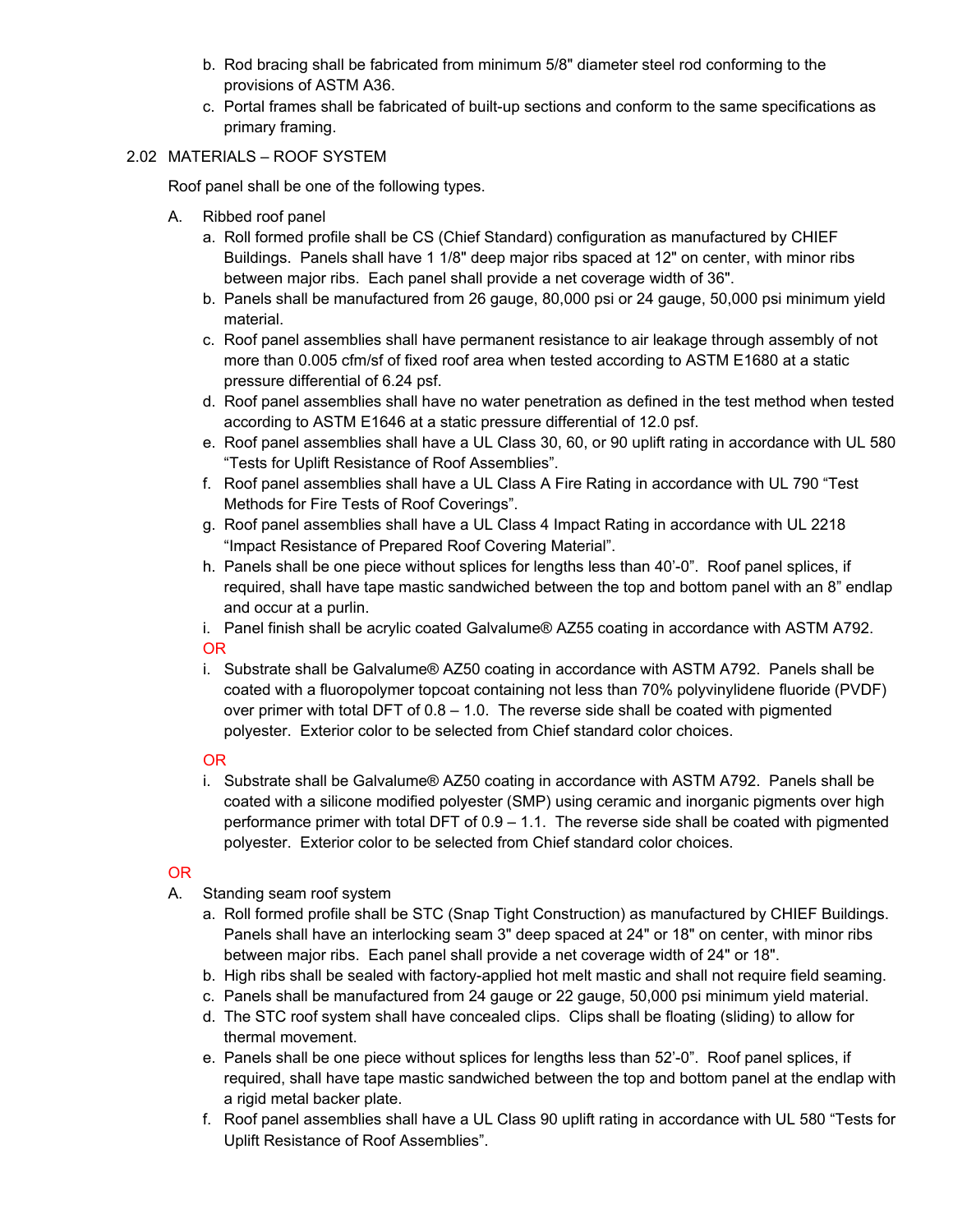- b. Rod bracing shall be fabricated from minimum 5/8" diameter steel rod conforming to the provisions of ASTM A36.
- c. Portal frames shall be fabricated of built-up sections and conform to the same specifications as primary framing.

#### 2.02 MATERIALS – ROOF SYSTEM

Roof panel shall be one of the following types.

- A. Ribbed roof panel
	- a. Roll formed profile shall be CS (Chief Standard) configuration as manufactured by CHIEF Buildings. Panels shall have 1 1/8" deep major ribs spaced at 12" on center, with minor ribs between major ribs. Each panel shall provide a net coverage width of 36".
	- b. Panels shall be manufactured from 26 gauge, 80,000 psi or 24 gauge, 50,000 psi minimum yield material.
	- c. Roof panel assemblies shall have permanent resistance to air leakage through assembly of not more than 0.005 cfm/sf of fixed roof area when tested according to ASTM E1680 at a static pressure differential of 6.24 psf.
	- d. Roof panel assemblies shall have no water penetration as defined in the test method when tested according to ASTM E1646 at a static pressure differential of 12.0 psf.
	- e. Roof panel assemblies shall have a UL Class 30, 60, or 90 uplift rating in accordance with UL 580 "Tests for Uplift Resistance of Roof Assemblies".
	- f. Roof panel assemblies shall have a UL Class A Fire Rating in accordance with UL 790 "Test Methods for Fire Tests of Roof Coverings".
	- g. Roof panel assemblies shall have a UL Class 4 Impact Rating in accordance with UL 2218 "Impact Resistance of Prepared Roof Covering Material".
	- h. Panels shall be one piece without splices for lengths less than 40'-0". Roof panel splices, if required, shall have tape mastic sandwiched between the top and bottom panel with an 8" endlap and occur at a purlin.
	- i. Panel finish shall be acrylic coated Galvalume® AZ55 coating in accordance with ASTM A792. OR
	- i. Substrate shall be Galvalume® AZ50 coating in accordance with ASTM A792. Panels shall be coated with a fluoropolymer topcoat containing not less than 70% polyvinylidene fluoride (PVDF) over primer with total DFT of  $0.8 - 1.0$ . The reverse side shall be coated with pigmented polyester. Exterior color to be selected from Chief standard color choices.

#### OR

i. Substrate shall be Galvalume® AZ50 coating in accordance with ASTM A792. Panels shall be coated with a silicone modified polyester (SMP) using ceramic and inorganic pigments over high performance primer with total DFT of 0.9 – 1.1. The reverse side shall be coated with pigmented polyester. Exterior color to be selected from Chief standard color choices.

- A. Standing seam roof system
	- a. Roll formed profile shall be STC (Snap Tight Construction) as manufactured by CHIEF Buildings. Panels shall have an interlocking seam 3" deep spaced at 24" or 18" on center, with minor ribs between major ribs. Each panel shall provide a net coverage width of 24" or 18".
	- b. High ribs shall be sealed with factory-applied hot melt mastic and shall not require field seaming.
	- c. Panels shall be manufactured from 24 gauge or 22 gauge, 50,000 psi minimum yield material.
	- d. The STC roof system shall have concealed clips. Clips shall be floating (sliding) to allow for thermal movement.
	- e. Panels shall be one piece without splices for lengths less than 52'-0". Roof panel splices, if required, shall have tape mastic sandwiched between the top and bottom panel at the endlap with a rigid metal backer plate.
	- f. Roof panel assemblies shall have a UL Class 90 uplift rating in accordance with UL 580 "Tests for Uplift Resistance of Roof Assemblies".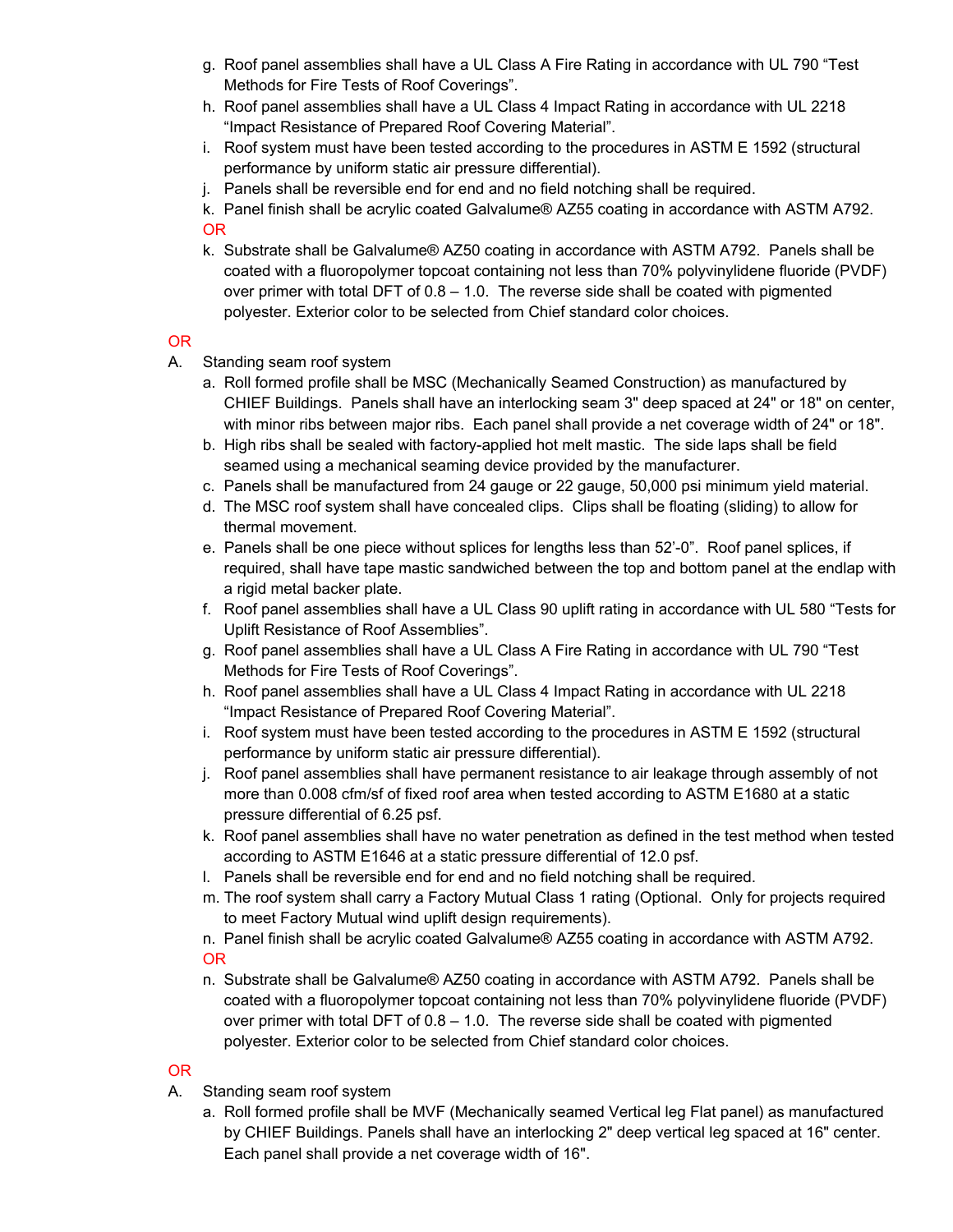- g. Roof panel assemblies shall have a UL Class A Fire Rating in accordance with UL 790 "Test Methods for Fire Tests of Roof Coverings".
- h. Roof panel assemblies shall have a UL Class 4 Impact Rating in accordance with UL 2218 "Impact Resistance of Prepared Roof Covering Material".
- i. Roof system must have been tested according to the procedures in ASTM E 1592 (structural performance by uniform static air pressure differential).
- j. Panels shall be reversible end for end and no field notching shall be required.
- k. Panel finish shall be acrylic coated Galvalume® AZ55 coating in accordance with ASTM A792. OR
- k. Substrate shall be Galvalume® AZ50 coating in accordance with ASTM A792. Panels shall be coated with a fluoropolymer topcoat containing not less than 70% polyvinylidene fluoride (PVDF) over primer with total DFT of  $0.8 - 1.0$ . The reverse side shall be coated with pigmented polyester. Exterior color to be selected from Chief standard color choices.

### OR

- A. Standing seam roof system
	- a. Roll formed profile shall be MSC (Mechanically Seamed Construction) as manufactured by CHIEF Buildings. Panels shall have an interlocking seam 3" deep spaced at 24" or 18" on center, with minor ribs between major ribs. Each panel shall provide a net coverage width of 24" or 18".
	- b. High ribs shall be sealed with factory-applied hot melt mastic. The side laps shall be field seamed using a mechanical seaming device provided by the manufacturer.
	- c. Panels shall be manufactured from 24 gauge or 22 gauge, 50,000 psi minimum yield material.
	- d. The MSC roof system shall have concealed clips. Clips shall be floating (sliding) to allow for thermal movement.
	- e. Panels shall be one piece without splices for lengths less than 52'-0". Roof panel splices, if required, shall have tape mastic sandwiched between the top and bottom panel at the endlap with a rigid metal backer plate.
	- f. Roof panel assemblies shall have a UL Class 90 uplift rating in accordance with UL 580 "Tests for Uplift Resistance of Roof Assemblies".
	- g. Roof panel assemblies shall have a UL Class A Fire Rating in accordance with UL 790 "Test Methods for Fire Tests of Roof Coverings".
	- h. Roof panel assemblies shall have a UL Class 4 Impact Rating in accordance with UL 2218 "Impact Resistance of Prepared Roof Covering Material".
	- i. Roof system must have been tested according to the procedures in ASTM E 1592 (structural performance by uniform static air pressure differential).
	- j. Roof panel assemblies shall have permanent resistance to air leakage through assembly of not more than 0.008 cfm/sf of fixed roof area when tested according to ASTM E1680 at a static pressure differential of 6.25 psf.
	- k. Roof panel assemblies shall have no water penetration as defined in the test method when tested according to ASTM E1646 at a static pressure differential of 12.0 psf.
	- l. Panels shall be reversible end for end and no field notching shall be required.
	- m. The roof system shall carry a Factory Mutual Class 1 rating (Optional. Only for projects required to meet Factory Mutual wind uplift design requirements).
	- n. Panel finish shall be acrylic coated Galvalume® AZ55 coating in accordance with ASTM A792. OR
	- n. Substrate shall be Galvalume® AZ50 coating in accordance with ASTM A792. Panels shall be coated with a fluoropolymer topcoat containing not less than 70% polyvinylidene fluoride (PVDF) over primer with total DFT of  $0.8 - 1.0$ . The reverse side shall be coated with pigmented polyester. Exterior color to be selected from Chief standard color choices.

- A. Standing seam roof system
	- a. Roll formed profile shall be MVF (Mechanically seamed Vertical leg Flat panel) as manufactured by CHIEF Buildings. Panels shall have an interlocking 2" deep vertical leg spaced at 16" center. Each panel shall provide a net coverage width of 16".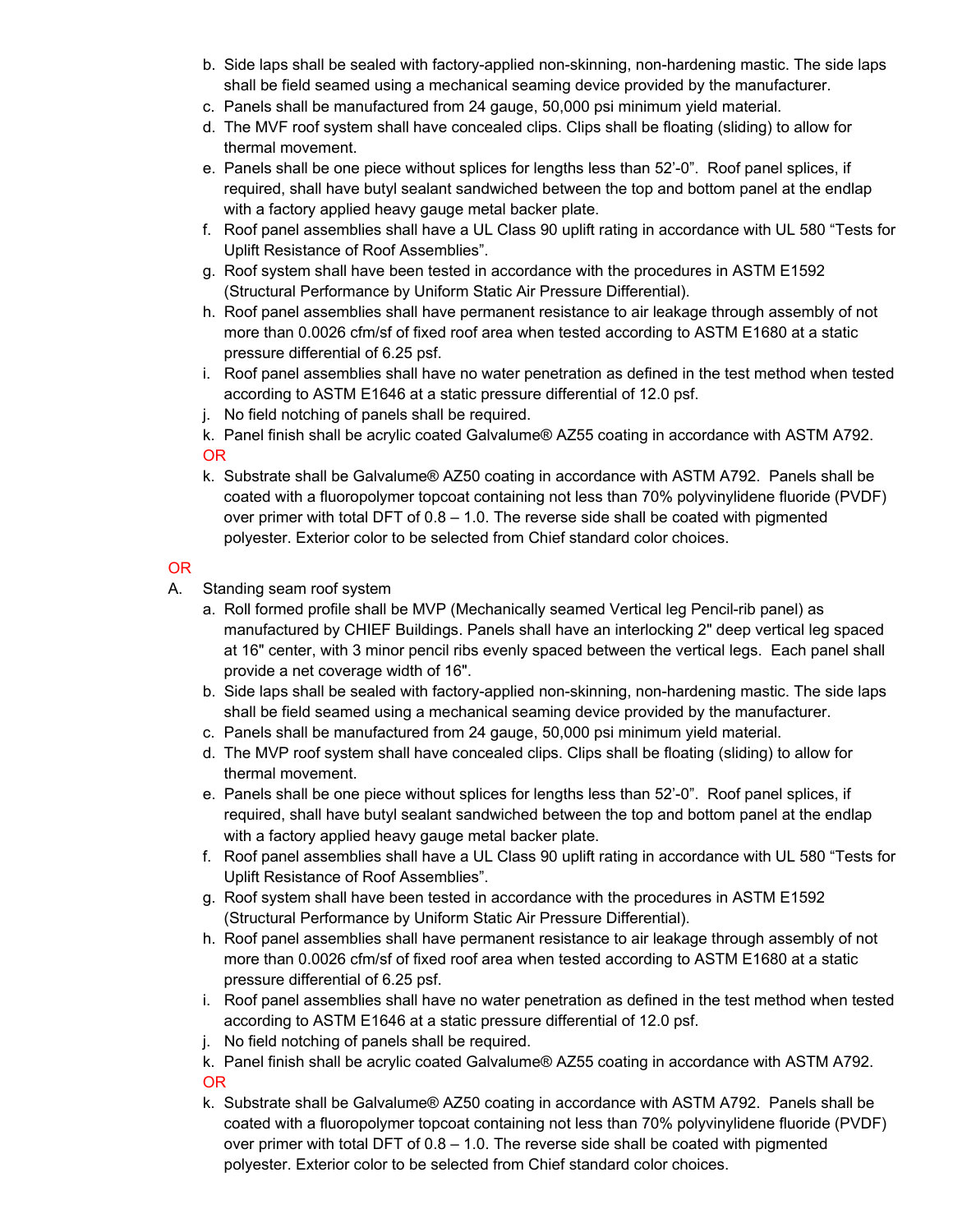- b. Side laps shall be sealed with factory-applied non-skinning, non-hardening mastic. The side laps shall be field seamed using a mechanical seaming device provided by the manufacturer.
- c. Panels shall be manufactured from 24 gauge, 50,000 psi minimum yield material.
- d. The MVF roof system shall have concealed clips. Clips shall be floating (sliding) to allow for thermal movement.
- e. Panels shall be one piece without splices for lengths less than 52'-0". Roof panel splices, if required, shall have butyl sealant sandwiched between the top and bottom panel at the endlap with a factory applied heavy gauge metal backer plate.
- f. Roof panel assemblies shall have a UL Class 90 uplift rating in accordance with UL 580 "Tests for Uplift Resistance of Roof Assemblies".
- g. Roof system shall have been tested in accordance with the procedures in ASTM E1592 (Structural Performance by Uniform Static Air Pressure Differential).
- h. Roof panel assemblies shall have permanent resistance to air leakage through assembly of not more than 0.0026 cfm/sf of fixed roof area when tested according to ASTM E1680 at a static pressure differential of 6.25 psf.
- i. Roof panel assemblies shall have no water penetration as defined in the test method when tested according to ASTM E1646 at a static pressure differential of 12.0 psf.
- j. No field notching of panels shall be required.

k. Panel finish shall be acrylic coated Galvalume® AZ55 coating in accordance with ASTM A792. OR

k. Substrate shall be Galvalume® AZ50 coating in accordance with ASTM A792. Panels shall be coated with a fluoropolymer topcoat containing not less than 70% polyvinylidene fluoride (PVDF) over primer with total DFT of  $0.8 - 1.0$ . The reverse side shall be coated with pigmented polyester. Exterior color to be selected from Chief standard color choices.

- A. Standing seam roof system
	- a. Roll formed profile shall be MVP (Mechanically seamed Vertical leg Pencil-rib panel) as manufactured by CHIEF Buildings. Panels shall have an interlocking 2" deep vertical leg spaced at 16" center, with 3 minor pencil ribs evenly spaced between the vertical legs. Each panel shall provide a net coverage width of 16".
	- b. Side laps shall be sealed with factory-applied non-skinning, non-hardening mastic. The side laps shall be field seamed using a mechanical seaming device provided by the manufacturer.
	- c. Panels shall be manufactured from 24 gauge, 50,000 psi minimum yield material.
	- d. The MVP roof system shall have concealed clips. Clips shall be floating (sliding) to allow for thermal movement.
	- e. Panels shall be one piece without splices for lengths less than 52'-0". Roof panel splices, if required, shall have butyl sealant sandwiched between the top and bottom panel at the endlap with a factory applied heavy gauge metal backer plate.
	- f. Roof panel assemblies shall have a UL Class 90 uplift rating in accordance with UL 580 "Tests for Uplift Resistance of Roof Assemblies".
	- g. Roof system shall have been tested in accordance with the procedures in ASTM E1592 (Structural Performance by Uniform Static Air Pressure Differential).
	- h. Roof panel assemblies shall have permanent resistance to air leakage through assembly of not more than 0.0026 cfm/sf of fixed roof area when tested according to ASTM E1680 at a static pressure differential of 6.25 psf.
	- i. Roof panel assemblies shall have no water penetration as defined in the test method when tested according to ASTM E1646 at a static pressure differential of 12.0 psf.
	- j. No field notching of panels shall be required.
	- k. Panel finish shall be acrylic coated Galvalume® AZ55 coating in accordance with ASTM A792. OR
	- k. Substrate shall be Galvalume® AZ50 coating in accordance with ASTM A792. Panels shall be coated with a fluoropolymer topcoat containing not less than 70% polyvinylidene fluoride (PVDF) over primer with total DFT of 0.8 – 1.0. The reverse side shall be coated with pigmented polyester. Exterior color to be selected from Chief standard color choices.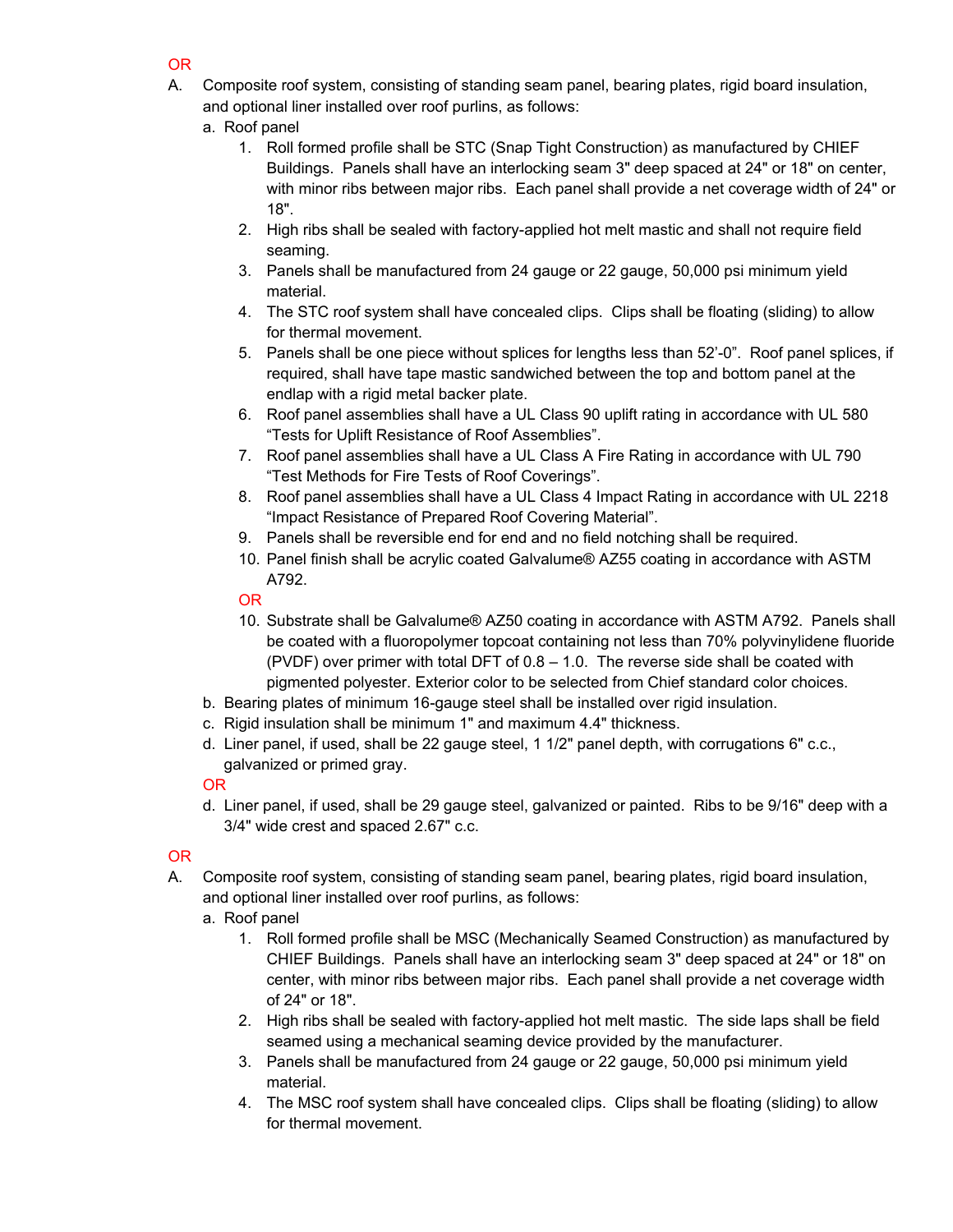- OR
- A. Composite roof system, consisting of standing seam panel, bearing plates, rigid board insulation, and optional liner installed over roof purlins, as follows:
	- a. Roof panel
		- 1. Roll formed profile shall be STC (Snap Tight Construction) as manufactured by CHIEF Buildings. Panels shall have an interlocking seam 3" deep spaced at 24" or 18" on center, with minor ribs between major ribs. Each panel shall provide a net coverage width of 24" or 18".
		- 2. High ribs shall be sealed with factory-applied hot melt mastic and shall not require field seaming.
		- 3. Panels shall be manufactured from 24 gauge or 22 gauge, 50,000 psi minimum yield material.
		- 4. The STC roof system shall have concealed clips. Clips shall be floating (sliding) to allow for thermal movement.
		- 5. Panels shall be one piece without splices for lengths less than 52'-0". Roof panel splices, if required, shall have tape mastic sandwiched between the top and bottom panel at the endlap with a rigid metal backer plate.
		- 6. Roof panel assemblies shall have a UL Class 90 uplift rating in accordance with UL 580 "Tests for Uplift Resistance of Roof Assemblies".
		- 7. Roof panel assemblies shall have a UL Class A Fire Rating in accordance with UL 790 "Test Methods for Fire Tests of Roof Coverings".
		- 8. Roof panel assemblies shall have a UL Class 4 Impact Rating in accordance with UL 2218 "Impact Resistance of Prepared Roof Covering Material".
		- 9. Panels shall be reversible end for end and no field notching shall be required.
		- 10. Panel finish shall be acrylic coated Galvalume® AZ55 coating in accordance with ASTM A792.

## OR

- 10. Substrate shall be Galvalume® AZ50 coating in accordance with ASTM A792. Panels shall be coated with a fluoropolymer topcoat containing not less than 70% polyvinylidene fluoride (PVDF) over primer with total DFT of  $0.8 - 1.0$ . The reverse side shall be coated with pigmented polyester. Exterior color to be selected from Chief standard color choices.
- b. Bearing plates of minimum 16-gauge steel shall be installed over rigid insulation.
- c. Rigid insulation shall be minimum 1" and maximum 4.4" thickness.
- d. Liner panel, if used, shall be 22 gauge steel, 1 1/2" panel depth, with corrugations 6" c.c., galvanized or primed gray.

## OR

d. Liner panel, if used, shall be 29 gauge steel, galvanized or painted. Ribs to be 9/16" deep with a 3/4" wide crest and spaced 2.67" c.c.

- A. Composite roof system, consisting of standing seam panel, bearing plates, rigid board insulation, and optional liner installed over roof purlins, as follows:
	- a. Roof panel
		- 1. Roll formed profile shall be MSC (Mechanically Seamed Construction) as manufactured by CHIEF Buildings. Panels shall have an interlocking seam 3" deep spaced at 24" or 18" on center, with minor ribs between major ribs. Each panel shall provide a net coverage width of 24" or 18".
		- 2. High ribs shall be sealed with factory-applied hot melt mastic. The side laps shall be field seamed using a mechanical seaming device provided by the manufacturer.
		- 3. Panels shall be manufactured from 24 gauge or 22 gauge, 50,000 psi minimum yield material.
		- 4. The MSC roof system shall have concealed clips. Clips shall be floating (sliding) to allow for thermal movement.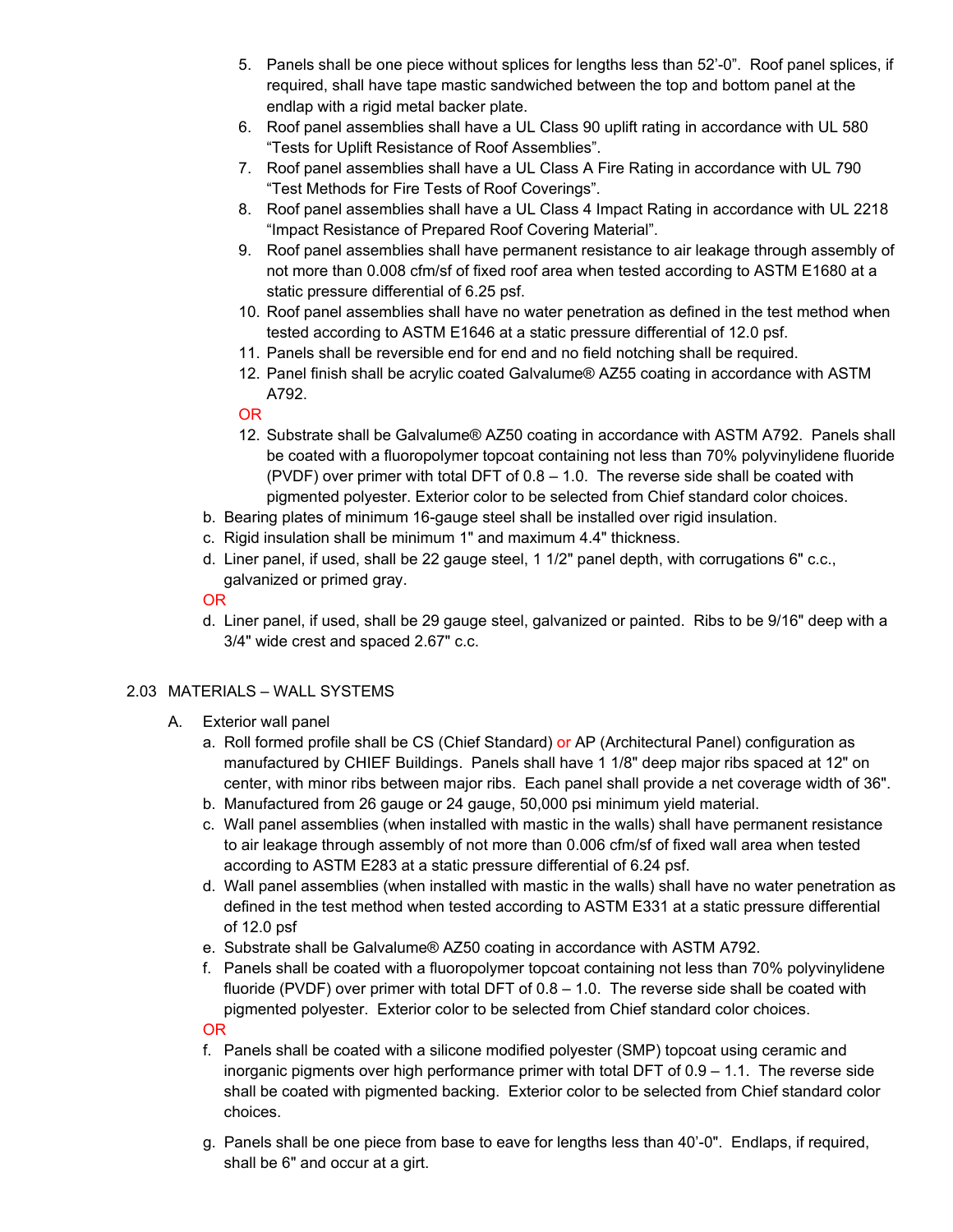- 5. Panels shall be one piece without splices for lengths less than 52'-0". Roof panel splices, if required, shall have tape mastic sandwiched between the top and bottom panel at the endlap with a rigid metal backer plate.
- 6. Roof panel assemblies shall have a UL Class 90 uplift rating in accordance with UL 580 "Tests for Uplift Resistance of Roof Assemblies".
- 7. Roof panel assemblies shall have a UL Class A Fire Rating in accordance with UL 790 "Test Methods for Fire Tests of Roof Coverings".
- 8. Roof panel assemblies shall have a UL Class 4 Impact Rating in accordance with UL 2218 "Impact Resistance of Prepared Roof Covering Material".
- 9. Roof panel assemblies shall have permanent resistance to air leakage through assembly of not more than 0.008 cfm/sf of fixed roof area when tested according to ASTM E1680 at a static pressure differential of 6.25 psf.
- 10. Roof panel assemblies shall have no water penetration as defined in the test method when tested according to ASTM E1646 at a static pressure differential of 12.0 psf.
- 11. Panels shall be reversible end for end and no field notching shall be required.
- 12. Panel finish shall be acrylic coated Galvalume® AZ55 coating in accordance with ASTM A792.

### OR

- 12. Substrate shall be Galvalume® AZ50 coating in accordance with ASTM A792. Panels shall be coated with a fluoropolymer topcoat containing not less than 70% polyvinylidene fluoride (PVDF) over primer with total DFT of 0.8 – 1.0. The reverse side shall be coated with pigmented polyester. Exterior color to be selected from Chief standard color choices.
- b. Bearing plates of minimum 16-gauge steel shall be installed over rigid insulation.
- c. Rigid insulation shall be minimum 1" and maximum 4.4" thickness.
- d. Liner panel, if used, shall be 22 gauge steel, 1 1/2" panel depth, with corrugations 6" c.c., galvanized or primed gray.

#### OR

d. Liner panel, if used, shall be 29 gauge steel, galvanized or painted. Ribs to be 9/16" deep with a 3/4" wide crest and spaced 2.67" c.c.

#### 2.03 MATERIALS – WALL SYSTEMS

- A. Exterior wall panel
	- a. Roll formed profile shall be CS (Chief Standard) or AP (Architectural Panel) configuration as manufactured by CHIEF Buildings. Panels shall have 1 1/8" deep major ribs spaced at 12" on center, with minor ribs between major ribs. Each panel shall provide a net coverage width of 36".
	- b. Manufactured from 26 gauge or 24 gauge, 50,000 psi minimum yield material.
	- c. Wall panel assemblies (when installed with mastic in the walls) shall have permanent resistance to air leakage through assembly of not more than 0.006 cfm/sf of fixed wall area when tested according to ASTM E283 at a static pressure differential of 6.24 psf.
	- d. Wall panel assemblies (when installed with mastic in the walls) shall have no water penetration as defined in the test method when tested according to ASTM E331 at a static pressure differential of 12.0 psf
	- e. Substrate shall be Galvalume® AZ50 coating in accordance with ASTM A792.
	- f. Panels shall be coated with a fluoropolymer topcoat containing not less than 70% polyvinylidene fluoride (PVDF) over primer with total DFT of  $0.8 - 1.0$ . The reverse side shall be coated with pigmented polyester. Exterior color to be selected from Chief standard color choices.

- f. Panels shall be coated with a silicone modified polyester (SMP) topcoat using ceramic and inorganic pigments over high performance primer with total DFT of 0.9 – 1.1. The reverse side shall be coated with pigmented backing. Exterior color to be selected from Chief standard color choices.
- g. Panels shall be one piece from base to eave for lengths less than 40'-0". Endlaps, if required, shall be 6" and occur at a girt.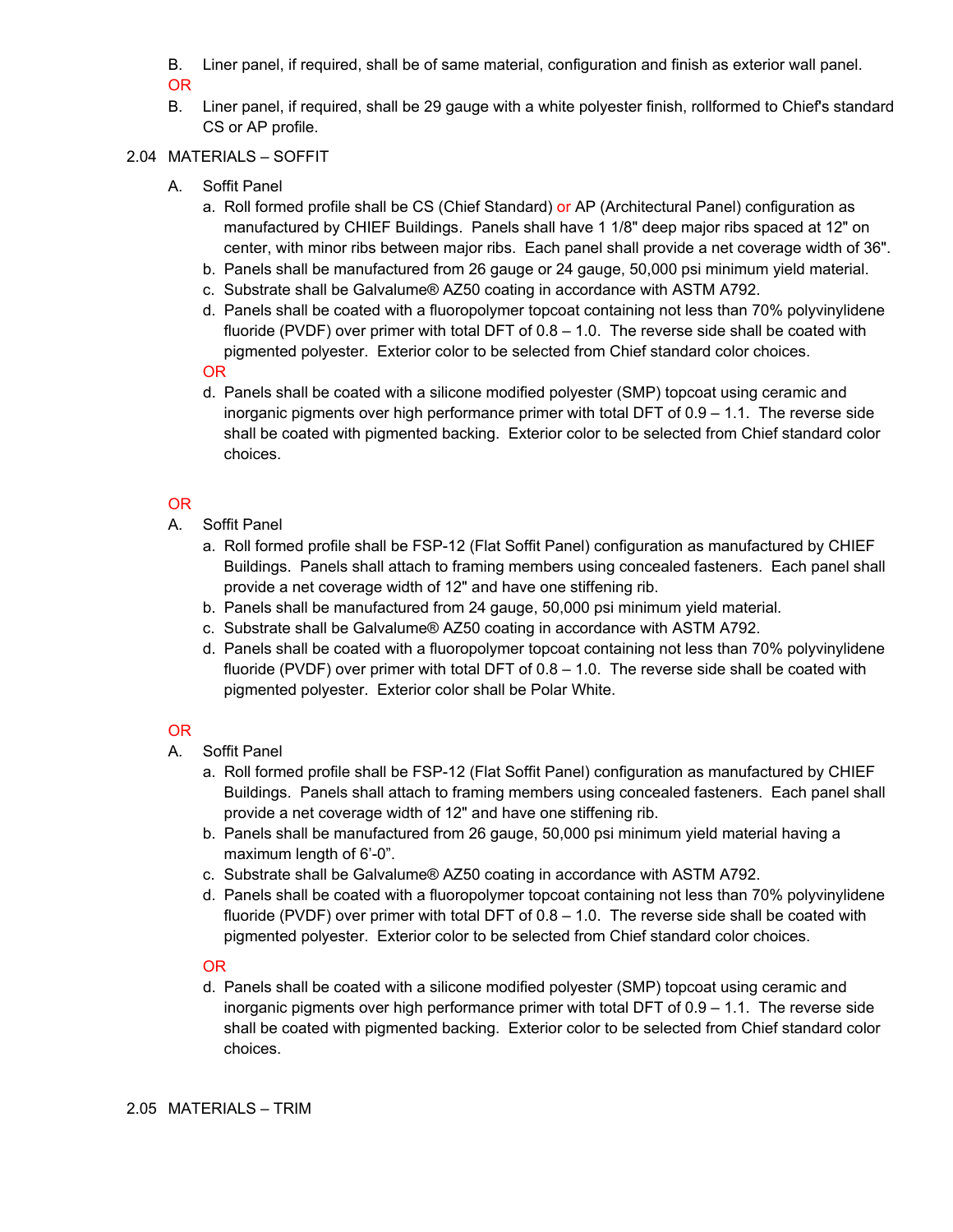B. Liner panel, if required, shall be of same material, configuration and finish as exterior wall panel.

OR

B. Liner panel, if required, shall be 29 gauge with a white polyester finish, rollformed to Chief's standard CS or AP profile.

# 2.04 MATERIALS – SOFFIT

- A. Soffit Panel
	- a. Roll formed profile shall be CS (Chief Standard) or AP (Architectural Panel) configuration as manufactured by CHIEF Buildings. Panels shall have 1 1/8" deep major ribs spaced at 12" on center, with minor ribs between major ribs. Each panel shall provide a net coverage width of 36".
	- b. Panels shall be manufactured from 26 gauge or 24 gauge, 50,000 psi minimum yield material.
	- c. Substrate shall be Galvalume® AZ50 coating in accordance with ASTM A792.
	- d. Panels shall be coated with a fluoropolymer topcoat containing not less than 70% polyvinylidene fluoride (PVDF) over primer with total DFT of 0.8 – 1.0. The reverse side shall be coated with pigmented polyester. Exterior color to be selected from Chief standard color choices.

OR

d. Panels shall be coated with a silicone modified polyester (SMP) topcoat using ceramic and inorganic pigments over high performance primer with total DFT of 0.9 – 1.1. The reverse side shall be coated with pigmented backing. Exterior color to be selected from Chief standard color choices.

# OR

- A. Soffit Panel
	- a. Roll formed profile shall be FSP-12 (Flat Soffit Panel) configuration as manufactured by CHIEF Buildings. Panels shall attach to framing members using concealed fasteners. Each panel shall provide a net coverage width of 12" and have one stiffening rib.
	- b. Panels shall be manufactured from 24 gauge, 50,000 psi minimum yield material.
	- c. Substrate shall be Galvalume® AZ50 coating in accordance with ASTM A792.
	- d. Panels shall be coated with a fluoropolymer topcoat containing not less than 70% polyvinylidene fluoride (PVDF) over primer with total DFT of 0.8 – 1.0. The reverse side shall be coated with pigmented polyester. Exterior color shall be Polar White.

## OR

- A. Soffit Panel
	- a. Roll formed profile shall be FSP-12 (Flat Soffit Panel) configuration as manufactured by CHIEF Buildings. Panels shall attach to framing members using concealed fasteners. Each panel shall provide a net coverage width of 12" and have one stiffening rib.
	- b. Panels shall be manufactured from 26 gauge, 50,000 psi minimum yield material having a maximum length of 6'-0".
	- c. Substrate shall be Galvalume® AZ50 coating in accordance with ASTM A792.
	- d. Panels shall be coated with a fluoropolymer topcoat containing not less than 70% polyvinylidene fluoride (PVDF) over primer with total DFT of 0.8 – 1.0. The reverse side shall be coated with pigmented polyester. Exterior color to be selected from Chief standard color choices.

## OR

d. Panels shall be coated with a silicone modified polyester (SMP) topcoat using ceramic and inorganic pigments over high performance primer with total DFT of 0.9 – 1.1. The reverse side shall be coated with pigmented backing. Exterior color to be selected from Chief standard color choices.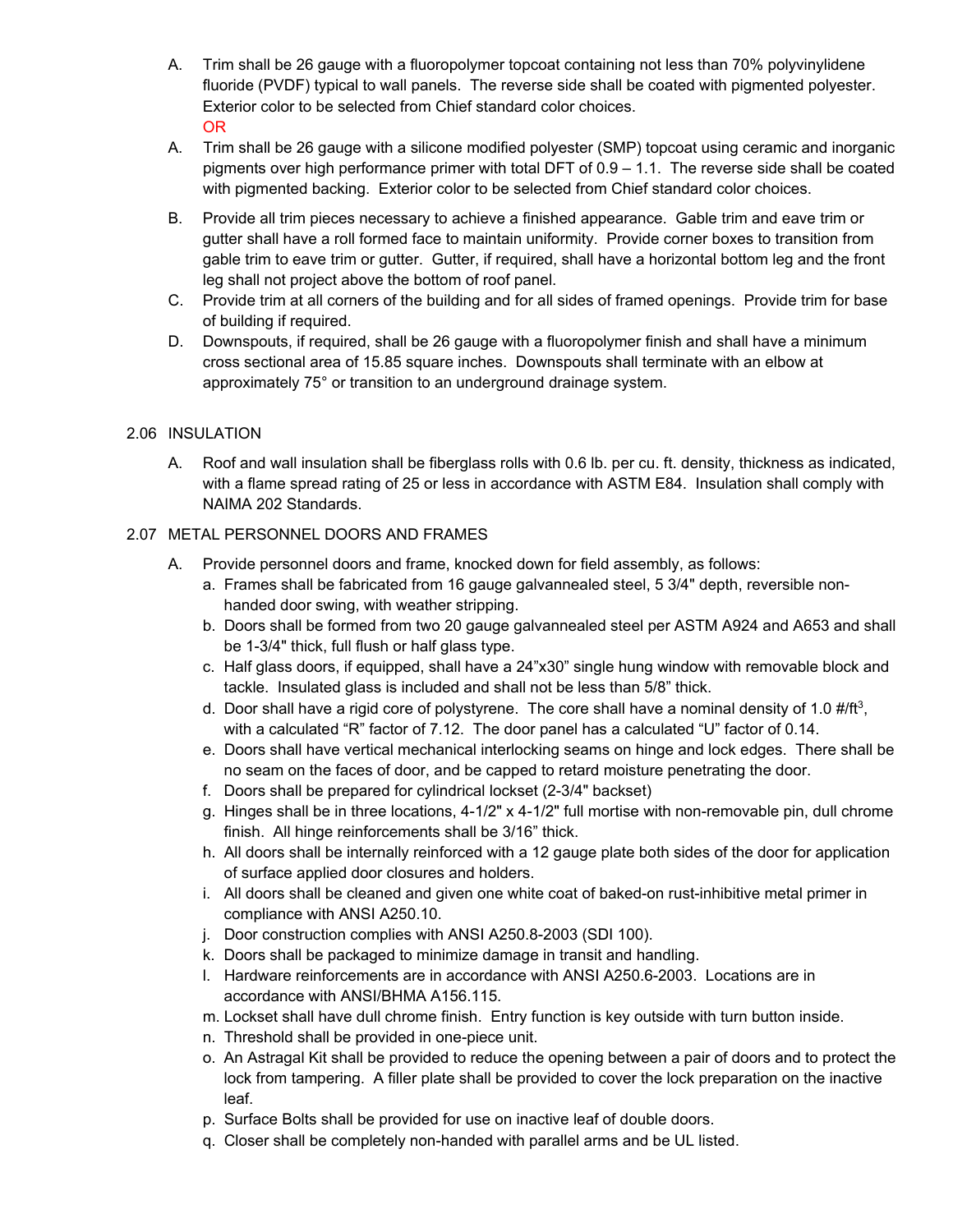- A. Trim shall be 26 gauge with a fluoropolymer topcoat containing not less than 70% polyvinylidene fluoride (PVDF) typical to wall panels. The reverse side shall be coated with pigmented polyester. Exterior color to be selected from Chief standard color choices. OR
- A. Trim shall be 26 gauge with a silicone modified polyester (SMP) topcoat using ceramic and inorganic pigments over high performance primer with total DFT of 0.9 – 1.1. The reverse side shall be coated with pigmented backing. Exterior color to be selected from Chief standard color choices.
- B. Provide all trim pieces necessary to achieve a finished appearance. Gable trim and eave trim or gutter shall have a roll formed face to maintain uniformity. Provide corner boxes to transition from gable trim to eave trim or gutter. Gutter, if required, shall have a horizontal bottom leg and the front leg shall not project above the bottom of roof panel.
- C. Provide trim at all corners of the building and for all sides of framed openings. Provide trim for base of building if required.
- D. Downspouts, if required, shall be 26 gauge with a fluoropolymer finish and shall have a minimum cross sectional area of 15.85 square inches. Downspouts shall terminate with an elbow at approximately 75° or transition to an underground drainage system.

# 2.06 INSULATION

A. Roof and wall insulation shall be fiberglass rolls with 0.6 lb. per cu. ft. density, thickness as indicated, with a flame spread rating of 25 or less in accordance with ASTM E84. Insulation shall comply with NAIMA 202 Standards.

# 2.07 METAL PERSONNEL DOORS AND FRAMES

- A. Provide personnel doors and frame, knocked down for field assembly, as follows:
	- a. Frames shall be fabricated from 16 gauge galvannealed steel, 5 3/4" depth, reversible nonhanded door swing, with weather stripping.
	- b. Doors shall be formed from two 20 gauge galvannealed steel per ASTM A924 and A653 and shall be 1-3/4" thick, full flush or half glass type.
	- c. Half glass doors, if equipped, shall have a 24"x30" single hung window with removable block and tackle. Insulated glass is included and shall not be less than 5/8" thick.
	- d. Door shall have a rigid core of polystyrene. The core shall have a nominal density of 1.0  $\#$ /ft<sup>3</sup>, with a calculated "R" factor of 7.12. The door panel has a calculated "U" factor of 0.14.
	- e. Doors shall have vertical mechanical interlocking seams on hinge and lock edges. There shall be no seam on the faces of door, and be capped to retard moisture penetrating the door.
	- f. Doors shall be prepared for cylindrical lockset (2-3/4" backset)
	- g. Hinges shall be in three locations, 4-1/2" x 4-1/2" full mortise with non-removable pin, dull chrome finish. All hinge reinforcements shall be 3/16" thick.
	- h. All doors shall be internally reinforced with a 12 gauge plate both sides of the door for application of surface applied door closures and holders.
	- i. All doors shall be cleaned and given one white coat of baked-on rust-inhibitive metal primer in compliance with ANSI A250.10.
	- j. Door construction complies with ANSI A250.8-2003 (SDI 100).
	- k. Doors shall be packaged to minimize damage in transit and handling.
	- l. Hardware reinforcements are in accordance with ANSI A250.6-2003. Locations are in accordance with ANSI/BHMA A156.115.
	- m. Lockset shall have dull chrome finish. Entry function is key outside with turn button inside.
	- n. Threshold shall be provided in one-piece unit.
	- o. An Astragal Kit shall be provided to reduce the opening between a pair of doors and to protect the lock from tampering. A filler plate shall be provided to cover the lock preparation on the inactive leaf.
	- p. Surface Bolts shall be provided for use on inactive leaf of double doors.
	- q. Closer shall be completely non-handed with parallel arms and be UL listed.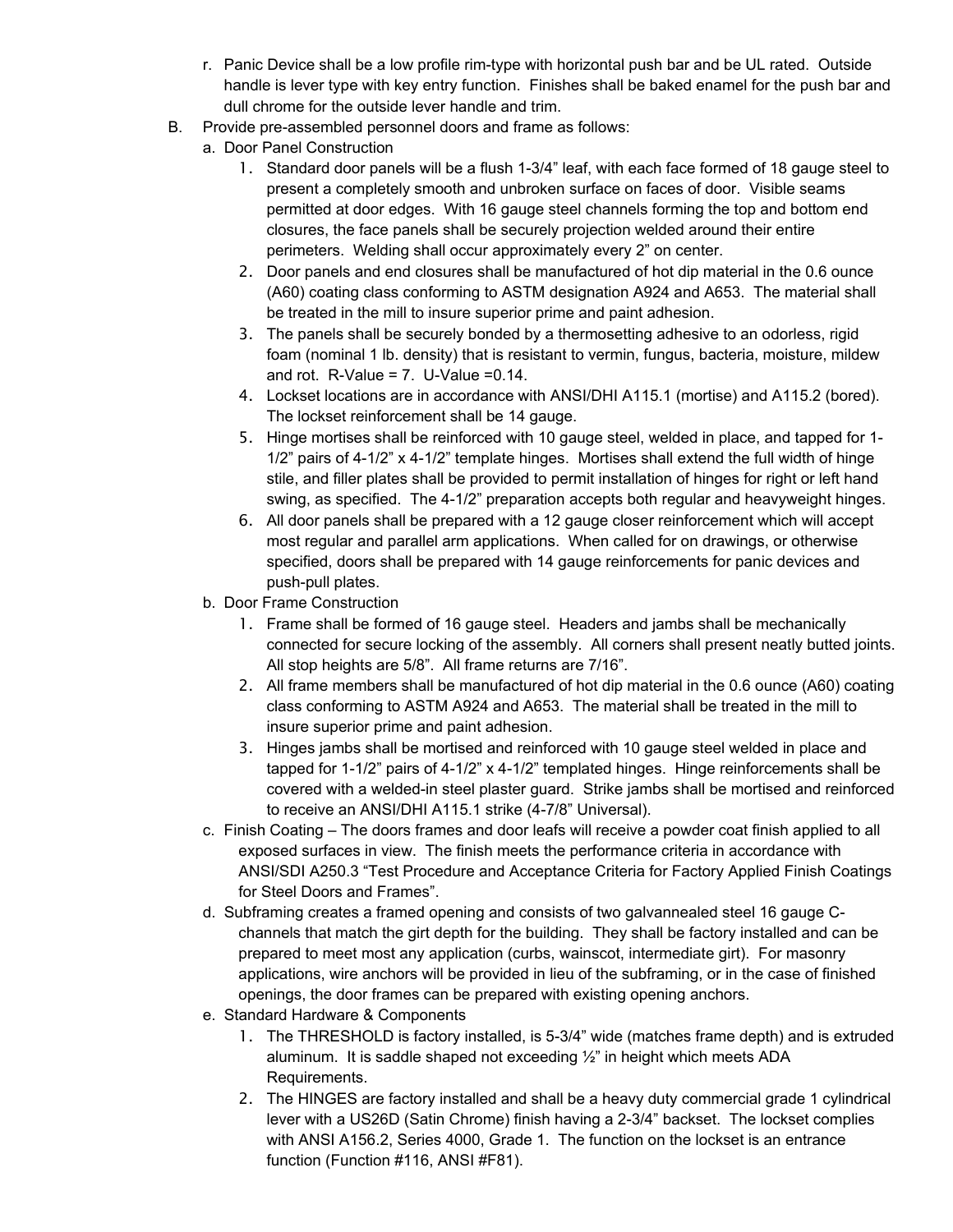- r. Panic Device shall be a low profile rim-type with horizontal push bar and be UL rated. Outside handle is lever type with key entry function. Finishes shall be baked enamel for the push bar and dull chrome for the outside lever handle and trim.
- B. Provide pre-assembled personnel doors and frame as follows:
	- a. Door Panel Construction
		- 1. Standard door panels will be a flush 1-3/4" leaf, with each face formed of 18 gauge steel to present a completely smooth and unbroken surface on faces of door. Visible seams permitted at door edges. With 16 gauge steel channels forming the top and bottom end closures, the face panels shall be securely projection welded around their entire perimeters. Welding shall occur approximately every 2" on center.
		- 2. Door panels and end closures shall be manufactured of hot dip material in the 0.6 ounce (A60) coating class conforming to ASTM designation A924 and A653. The material shall be treated in the mill to insure superior prime and paint adhesion.
		- 3. The panels shall be securely bonded by a thermosetting adhesive to an odorless, rigid foam (nominal 1 lb. density) that is resistant to vermin, fungus, bacteria, moisture, mildew and rot.  $R-Value = 7$ . U-Value = 0.14.
		- 4. Lockset locations are in accordance with ANSI/DHI A115.1 (mortise) and A115.2 (bored). The lockset reinforcement shall be 14 gauge.
		- 5. Hinge mortises shall be reinforced with 10 gauge steel, welded in place, and tapped for 1- 1/2" pairs of 4-1/2" x 4-1/2" template hinges. Mortises shall extend the full width of hinge stile, and filler plates shall be provided to permit installation of hinges for right or left hand swing, as specified. The 4-1/2" preparation accepts both regular and heavyweight hinges.
		- 6. All door panels shall be prepared with a 12 gauge closer reinforcement which will accept most regular and parallel arm applications. When called for on drawings, or otherwise specified, doors shall be prepared with 14 gauge reinforcements for panic devices and push-pull plates.
	- b. Door Frame Construction
		- 1. Frame shall be formed of 16 gauge steel. Headers and jambs shall be mechanically connected for secure locking of the assembly. All corners shall present neatly butted joints. All stop heights are 5/8". All frame returns are 7/16".
		- 2. All frame members shall be manufactured of hot dip material in the 0.6 ounce (A60) coating class conforming to ASTM A924 and A653. The material shall be treated in the mill to insure superior prime and paint adhesion.
		- 3. Hinges jambs shall be mortised and reinforced with 10 gauge steel welded in place and tapped for 1-1/2" pairs of 4-1/2" x 4-1/2" templated hinges. Hinge reinforcements shall be covered with a welded-in steel plaster guard. Strike jambs shall be mortised and reinforced to receive an ANSI/DHI A115.1 strike (4-7/8" Universal).
	- c. Finish Coating The doors frames and door leafs will receive a powder coat finish applied to all exposed surfaces in view. The finish meets the performance criteria in accordance with ANSI/SDI A250.3 "Test Procedure and Acceptance Criteria for Factory Applied Finish Coatings for Steel Doors and Frames".
	- d. Subframing creates a framed opening and consists of two galvannealed steel 16 gauge Cchannels that match the girt depth for the building. They shall be factory installed and can be prepared to meet most any application (curbs, wainscot, intermediate girt). For masonry applications, wire anchors will be provided in lieu of the subframing, or in the case of finished openings, the door frames can be prepared with existing opening anchors.
	- e. Standard Hardware & Components
		- 1. The THRESHOLD is factory installed, is 5-3/4" wide (matches frame depth) and is extruded aluminum. It is saddle shaped not exceeding ½" in height which meets ADA Requirements.
		- 2. The HINGES are factory installed and shall be a heavy duty commercial grade 1 cylindrical lever with a US26D (Satin Chrome) finish having a 2-3/4" backset. The lockset complies with ANSI A156.2, Series 4000, Grade 1. The function on the lockset is an entrance function (Function #116, ANSI #F81).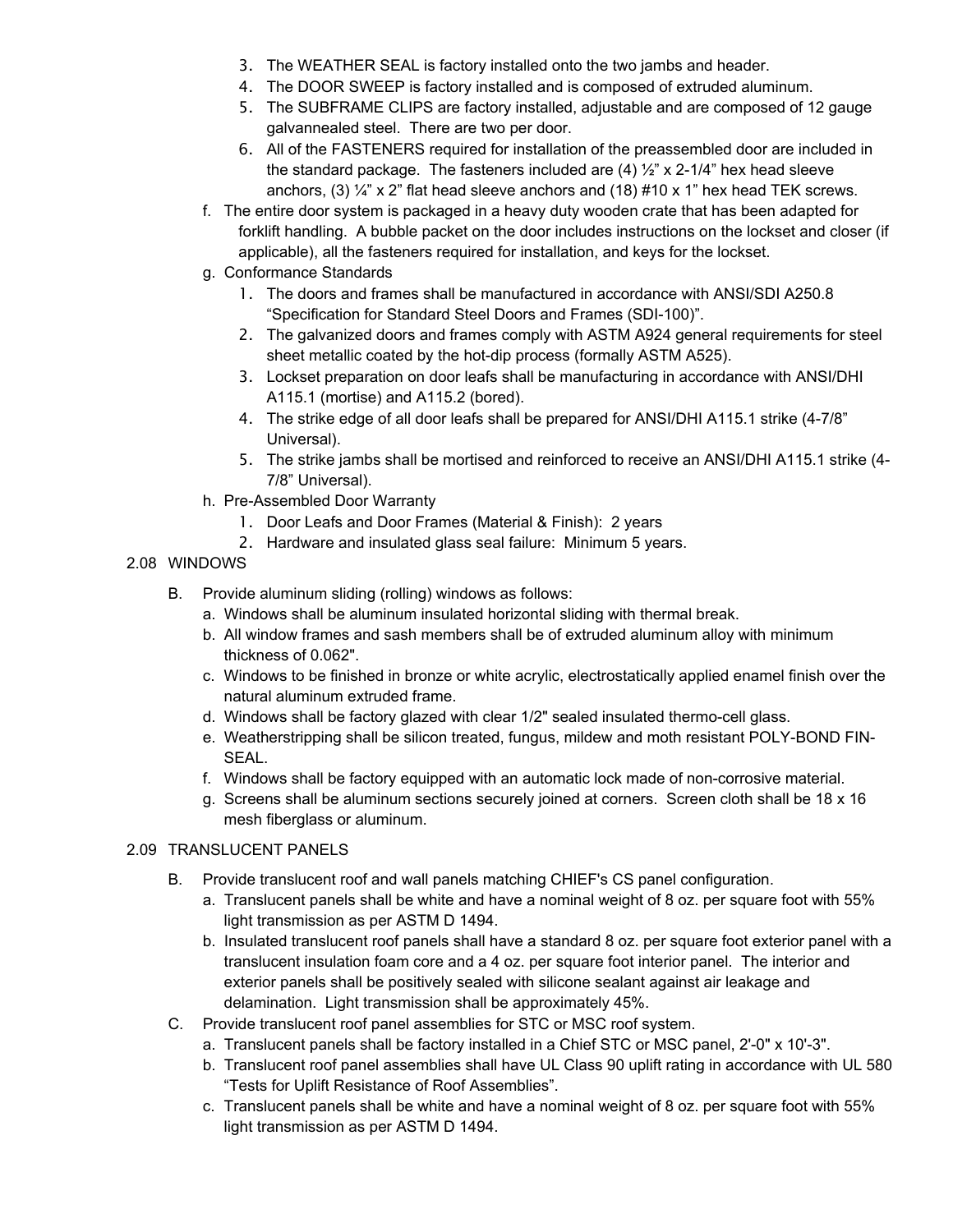- 3. The WEATHER SEAL is factory installed onto the two jambs and header.
- 4. The DOOR SWEEP is factory installed and is composed of extruded aluminum.
- 5. The SUBFRAME CLIPS are factory installed, adjustable and are composed of 12 gauge galvannealed steel. There are two per door.
- 6. All of the FASTENERS required for installation of the preassembled door are included in the standard package. The fasteners included are (4) ½" x 2-1/4" hex head sleeve anchors, (3)  $\frac{1}{4}$  x 2" flat head sleeve anchors and (18) #10 x 1" hex head TEK screws.
- f. The entire door system is packaged in a heavy duty wooden crate that has been adapted for forklift handling. A bubble packet on the door includes instructions on the lockset and closer (if applicable), all the fasteners required for installation, and keys for the lockset.
- g. Conformance Standards
	- 1. The doors and frames shall be manufactured in accordance with ANSI/SDI A250.8 "Specification for Standard Steel Doors and Frames (SDI-100)".
	- 2. The galvanized doors and frames comply with ASTM A924 general requirements for steel sheet metallic coated by the hot-dip process (formally ASTM A525).
	- 3. Lockset preparation on door leafs shall be manufacturing in accordance with ANSI/DHI A115.1 (mortise) and A115.2 (bored).
	- 4. The strike edge of all door leafs shall be prepared for ANSI/DHI A115.1 strike (4-7/8" Universal).
	- 5. The strike jambs shall be mortised and reinforced to receive an ANSI/DHI A115.1 strike (4- 7/8" Universal).
- h. Pre-Assembled Door Warranty
	- 1. Door Leafs and Door Frames (Material & Finish): 2 years
	- 2. Hardware and insulated glass seal failure: Minimum 5 years.
- 2.08 WINDOWS
	- B. Provide aluminum sliding (rolling) windows as follows:
		- a. Windows shall be aluminum insulated horizontal sliding with thermal break.
		- b. All window frames and sash members shall be of extruded aluminum alloy with minimum thickness of 0.062".
		- c. Windows to be finished in bronze or white acrylic, electrostatically applied enamel finish over the natural aluminum extruded frame.
		- d. Windows shall be factory glazed with clear 1/2" sealed insulated thermo-cell glass.
		- e. Weatherstripping shall be silicon treated, fungus, mildew and moth resistant POLY-BOND FIN-SEAL.
		- f. Windows shall be factory equipped with an automatic lock made of non-corrosive material.
		- g. Screens shall be aluminum sections securely joined at corners. Screen cloth shall be 18 x 16 mesh fiberglass or aluminum.

#### 2.09 TRANSLUCENT PANELS

- B. Provide translucent roof and wall panels matching CHIEF's CS panel configuration.
	- a. Translucent panels shall be white and have a nominal weight of 8 oz. per square foot with 55% light transmission as per ASTM D 1494.
	- b. Insulated translucent roof panels shall have a standard 8 oz. per square foot exterior panel with a translucent insulation foam core and a 4 oz. per square foot interior panel. The interior and exterior panels shall be positively sealed with silicone sealant against air leakage and delamination. Light transmission shall be approximately 45%.
- C. Provide translucent roof panel assemblies for STC or MSC roof system.
	- a. Translucent panels shall be factory installed in a Chief STC or MSC panel, 2'-0" x 10'-3".
	- b. Translucent roof panel assemblies shall have UL Class 90 uplift rating in accordance with UL 580 "Tests for Uplift Resistance of Roof Assemblies".
	- c. Translucent panels shall be white and have a nominal weight of 8 oz. per square foot with 55% light transmission as per ASTM D 1494.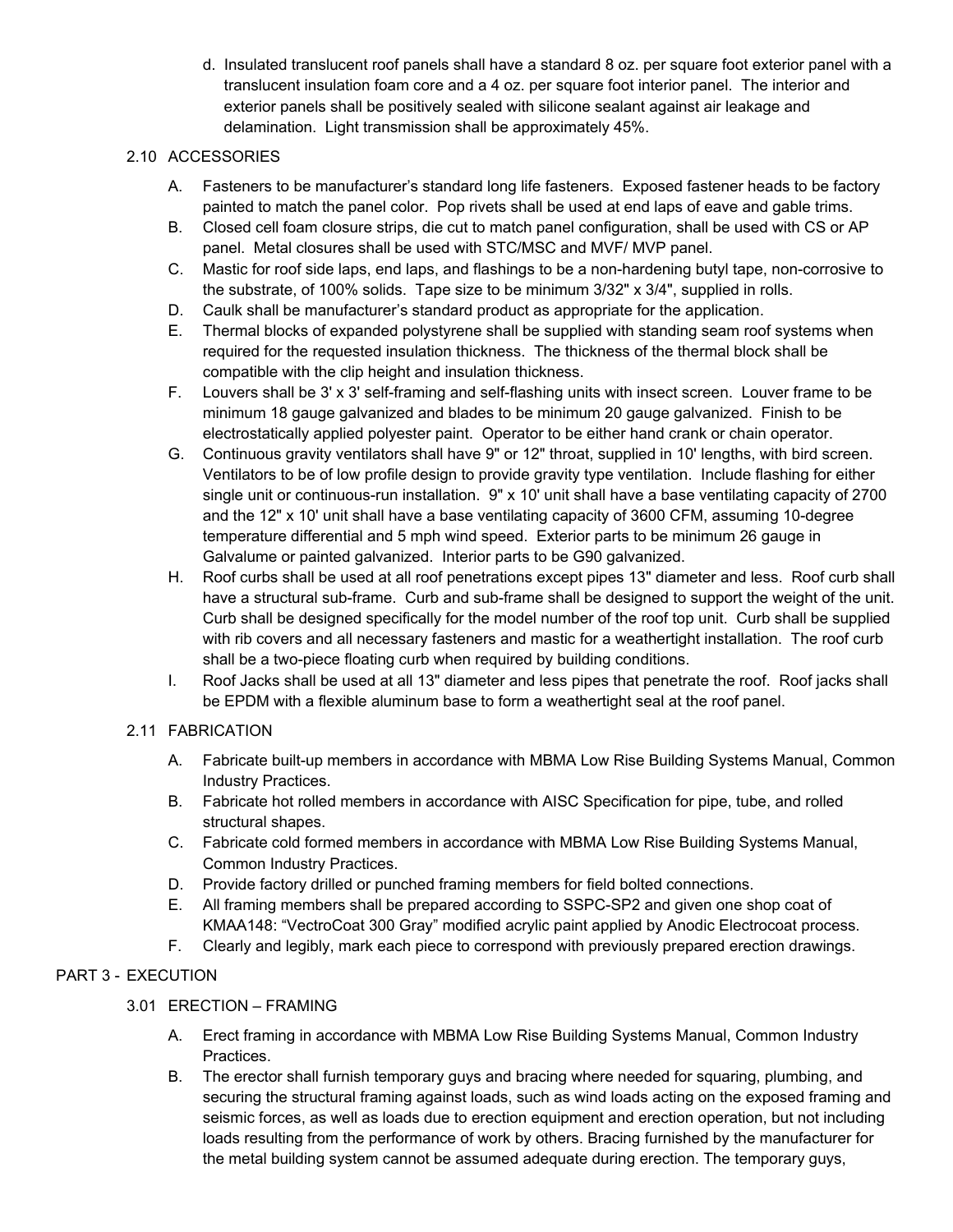d. Insulated translucent roof panels shall have a standard 8 oz. per square foot exterior panel with a translucent insulation foam core and a 4 oz. per square foot interior panel. The interior and exterior panels shall be positively sealed with silicone sealant against air leakage and delamination. Light transmission shall be approximately 45%.

# 2.10 ACCESSORIES

- A. Fasteners to be manufacturer's standard long life fasteners. Exposed fastener heads to be factory painted to match the panel color. Pop rivets shall be used at end laps of eave and gable trims.
- B. Closed cell foam closure strips, die cut to match panel configuration, shall be used with CS or AP panel. Metal closures shall be used with STC/MSC and MVF/ MVP panel.
- C. Mastic for roof side laps, end laps, and flashings to be a non-hardening butyl tape, non-corrosive to the substrate, of 100% solids. Tape size to be minimum 3/32" x 3/4", supplied in rolls.
- D. Caulk shall be manufacturer's standard product as appropriate for the application.
- E. Thermal blocks of expanded polystyrene shall be supplied with standing seam roof systems when required for the requested insulation thickness. The thickness of the thermal block shall be compatible with the clip height and insulation thickness.
- F. Louvers shall be 3' x 3' self-framing and self-flashing units with insect screen. Louver frame to be minimum 18 gauge galvanized and blades to be minimum 20 gauge galvanized. Finish to be electrostatically applied polyester paint. Operator to be either hand crank or chain operator.
- G. Continuous gravity ventilators shall have 9" or 12" throat, supplied in 10' lengths, with bird screen. Ventilators to be of low profile design to provide gravity type ventilation. Include flashing for either single unit or continuous-run installation. 9" x 10' unit shall have a base ventilating capacity of 2700 and the 12" x 10' unit shall have a base ventilating capacity of 3600 CFM, assuming 10-degree temperature differential and 5 mph wind speed. Exterior parts to be minimum 26 gauge in Galvalume or painted galvanized. Interior parts to be G90 galvanized.
- H. Roof curbs shall be used at all roof penetrations except pipes 13" diameter and less. Roof curb shall have a structural sub-frame. Curb and sub-frame shall be designed to support the weight of the unit. Curb shall be designed specifically for the model number of the roof top unit. Curb shall be supplied with rib covers and all necessary fasteners and mastic for a weathertight installation. The roof curb shall be a two-piece floating curb when required by building conditions.
- I. Roof Jacks shall be used at all 13" diameter and less pipes that penetrate the roof. Roof jacks shall be EPDM with a flexible aluminum base to form a weathertight seal at the roof panel.

# 2.11 FABRICATION

- A. Fabricate built-up members in accordance with MBMA Low Rise Building Systems Manual, Common Industry Practices.
- B. Fabricate hot rolled members in accordance with AISC Specification for pipe, tube, and rolled structural shapes.
- C. Fabricate cold formed members in accordance with MBMA Low Rise Building Systems Manual, Common Industry Practices.
- D. Provide factory drilled or punched framing members for field bolted connections.
- E. All framing members shall be prepared according to SSPC-SP2 and given one shop coat of KMAA148: "VectroCoat 300 Gray" modified acrylic paint applied by Anodic Electrocoat process.
- F. Clearly and legibly, mark each piece to correspond with previously prepared erection drawings.

# PART 3 - EXECUTION

# 3.01 ERECTION – FRAMING

- A. Erect framing in accordance with MBMA Low Rise Building Systems Manual, Common Industry Practices.
- B. The erector shall furnish temporary guys and bracing where needed for squaring, plumbing, and securing the structural framing against loads, such as wind loads acting on the exposed framing and seismic forces, as well as loads due to erection equipment and erection operation, but not including loads resulting from the performance of work by others. Bracing furnished by the manufacturer for the metal building system cannot be assumed adequate during erection. The temporary guys,